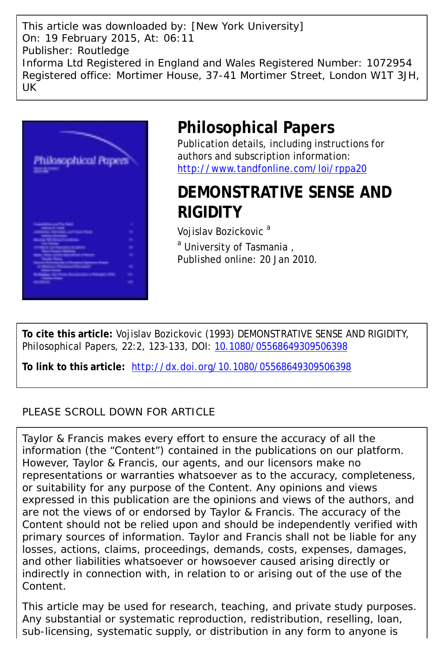This article was downloaded by: [New York University] On: 19 February 2015, At: 06:11 Publisher: Routledge Informa Ltd Registered in England and Wales Registered Number: 1072954 Registered office: Mortimer House, 37-41 Mortimer Street, London W1T 3JH, UK



# **Philosophical Papers**

Publication details, including instructions for authors and subscription information: <http://www.tandfonline.com/loi/rppa20>

# **DEMONSTRATIVE SENSE AND RIGIDITY**

Vojislav Bozickovic<sup>a</sup> <sup>a</sup> University of Tasmania, Published online: 20 Jan 2010.

**To cite this article:** Vojislav Bozickovic (1993) DEMONSTRATIVE SENSE AND RIGIDITY, Philosophical Papers, 22:2, 123-133, DOI: [10.1080/05568649309506398](http://www.tandfonline.com/action/showCitFormats?doi=10.1080/05568649309506398)

**To link to this article:** <http://dx.doi.org/10.1080/05568649309506398>

# PLEASE SCROLL DOWN FOR ARTICLE

Taylor & Francis makes every effort to ensure the accuracy of all the information (the "Content") contained in the publications on our platform. However, Taylor & Francis, our agents, and our licensors make no representations or warranties whatsoever as to the accuracy, completeness, or suitability for any purpose of the Content. Any opinions and views expressed in this publication are the opinions and views of the authors, and are not the views of or endorsed by Taylor & Francis. The accuracy of the Content should not be relied upon and should be independently verified with primary sources of information. Taylor and Francis shall not be liable for any losses, actions, claims, proceedings, demands, costs, expenses, damages, and other liabilities whatsoever or howsoever caused arising directly or indirectly in connection with, in relation to or arising out of the use of the Content.

This article may be used for research, teaching, and private study purposes. Any substantial or systematic reproduction, redistribution, reselling, loan, sub-licensing, systematic supply, or distribution in any form to anyone is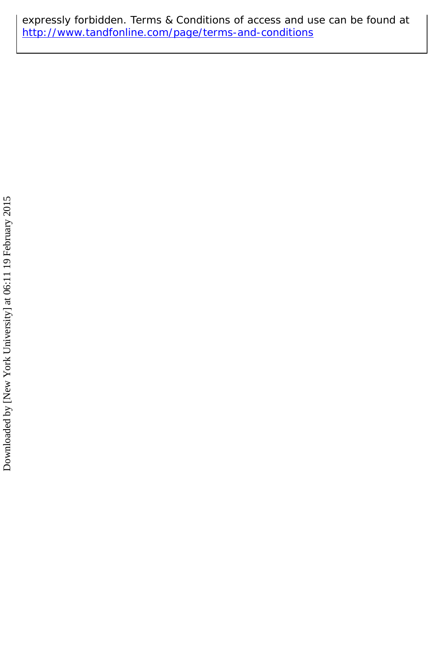expressly forbidden. Terms & Conditions of access and use can be found at <http://www.tandfonline.com/page/terms-and-conditions>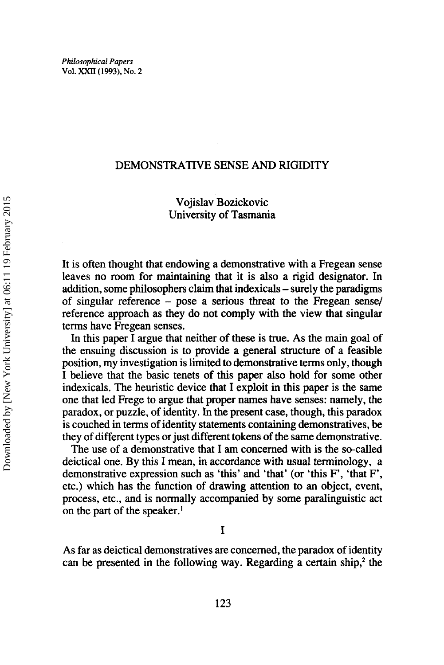## DEMONSTRATIVE SENSE *AND* RIGIDITY

Vojislav Bozickovic University of Tasmania

It is often thought that endowing a demonstrative with a Fregean sense leaves no room for maintaining that it is also a rigid designator. In addition, some philosophers claim that indexicals – surely the paradigms of singular reference - pose a serious threat to the Fregean sense/ reference approach as they do not comply with the view that singular terms have Fregean senses.

In this paper I argue that neither of these is true. As the main goal of the ensuing discussion is to provide a general structure of a feasible position, my investigation is limited to demonstrative terms only, though I believe that the basic tenets of this paper also hold for some other indexicals. The heuristic device that I exploit in this paper is the same one that led Frege to argue that proper names have senses: namely, the paradox, or puzzle, of identity. In the present case, though, this paradox is couched in terms of identity statements containing demonstratives, be they of different types or just different tokens of the same demonstrative.

The use of a demonstrative that I am concerned with is the so-called deictical one. By this I mean, in accordance with usual terminology, a demonstrative expression such as 'this' and 'that' (or 'this F', 'that F', etc.) which has the function of drawing attention to an object, event, process, etc., and is normally accompanied by some paralinguistic act on the part of the speaker.'

I

As far as deictical demonstratives are concerned, the paradox of identity can be presented in the following way. Regarding a certain ship? the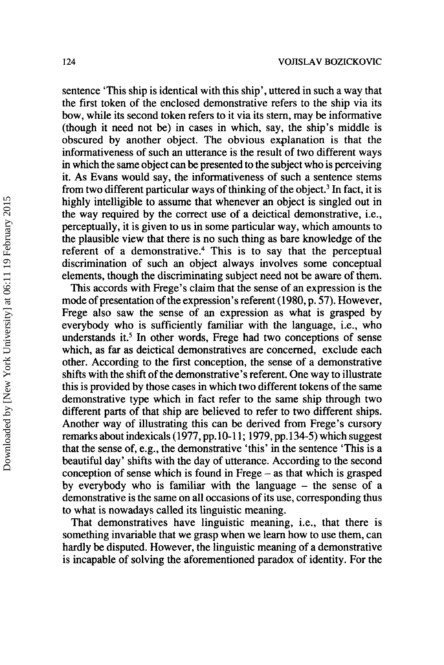sentence 'This ship is identical with this ship', uttered in such a way that the first token of the enclosed demonstrative refers to the ship via its bow, while its second token refers to it via its stern, may be informative (though it need not be) in cases in which, say, the ship's middle is obscured by another object. The obvious explanation is that the informativeness of such an utterance is the result of two different ways in which the same object can be presented to the subject who is perceiving it. As Evans would say, the informativeness of such a sentence stems from two different particular ways of thinking of the object.<sup>3</sup> In fact, it is highly intelligible to assume that whenever an object is singled out in the way required by the correct use of a deictical demonstrative, i.e., perceptually, it is given to us in some particular way, which amounts to the plausible view that there is no such thing as bare knowledge of the referent of a demonstrative.<sup>4</sup> This is to say that the perceptual discrimination of such an object always involves some conceptual elements, though the discriminating subject need not be aware of them.

This accords with Frege's claim that the sense of an expression is the mode of presentation of the expression's referent (1980, p. 57). However, Frege also saw the sense of an expression as what is grasped by everybody who is sufficiently familiar with the language, i.e., who understands it.<sup>5</sup> In other words, Frege had two conceptions of sense which, as far as deictical demonstratives are concerned, exclude each other. According to the first conception, the sense of a demonstrative shifts with the shift of the demonstrative's referent. One way to illustrate this is provided by those cases in which two different tokens of the same demonstrative type which in fact refer to the same ship through two different parts of that ship are believed to refer to two different ships. Another way of illustrating this can be derived from Frege's cursory remarks about indexicals (1977, pp.10-11; 1979, pp.134-5) which suggest that the sense of, e.g., the demonstrative 'this' in the sentence 'This is a beautiful day' shifts with the day of utterance. According to the second conception of sense which is found in Frege  $-$  as that which is grasped by everybody who is familiar with the language – the sense of a demonstrative is the same on all occasions of its use, corresponding thus to what is nowadays called its linguistic meaning.

That demonstratives have linguistic meaning, i.e., that there is something invariable that we grasp when we learn how to use them, can hardly be disputed. However, the linguistic meaning of a demonstrative is incapable of solving the aforementioned paradox of identity. For the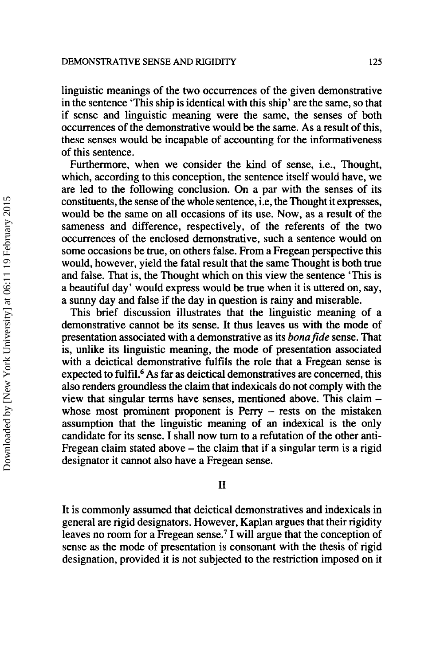linguistic meanings of the two occurrences of the given demonstrative in the sentence 'This ship is identical with this ship' are the same, so that if sense and linguistic meaning were the same, the senses of both occurrences of the demonstrative would be the same. As a result of this, these senses would be incapable of accounting for the informativeness of this sentence.

Furthermore, when we consider the kind of sense, i.e., Thought, which, according to this conception, the sentence itself would have, we are led to the following conclusion. On a par with the senses of its constituents, the sense of the whole sentence, i.e, the Thought it expresses, would be the same on all occasions of its use. Now, as a result of the sameness and difference, respectively, of the referents of the two occurrences of the enclosed demonstrative, such a sentence would on some occasions be true, on others false. From a Fregean perspective this would, however, yield the fatal result that the same Thought is both true and false. That is, the Thought which on this view the sentence 'This is a beautiful day' would express would be true when it is uttered on, say, a sunny day and false if the day in question is rainy and miserable.

This brief discussion illustrates that the linguistic meaning of a demonstrative cannot be its sense. It thus leaves us with the mode of presentation associated with a demonstrative as its *bona fide* sense. That is, unlike its linguistic meaning, the mode of presentation associated with a deictical demonstrative fulfils the role that a Fregean sense is expected to fulfil.<sup>6</sup> As far as deictical demonstratives are concerned, this also renders groundless the claim that indexicals do not comply with the view that singular terms have senses, mentioned above. This claim whose most prominent proponent is  $Perry - rests$  on the mistaken assumption that the linguistic meaning of an indexical is the only candidate for its sense. I shall now turn to a refutation of the other anti-Fregean claim stated above  $-$  the claim that if a singular term is a rigid designator it cannot also have a Fregean sense.

### **I1**

It is commonly assumed that deictical demonstratives and indexicals in general are rigid designators. However, Kaplan argues that their rigidity leaves no room for a Fregean sense.<sup>7</sup> I will argue that the conception of sense as the mode of presentation is consonant with the thesis of rigid designation, provided it is not subjected to the restriction imposed on it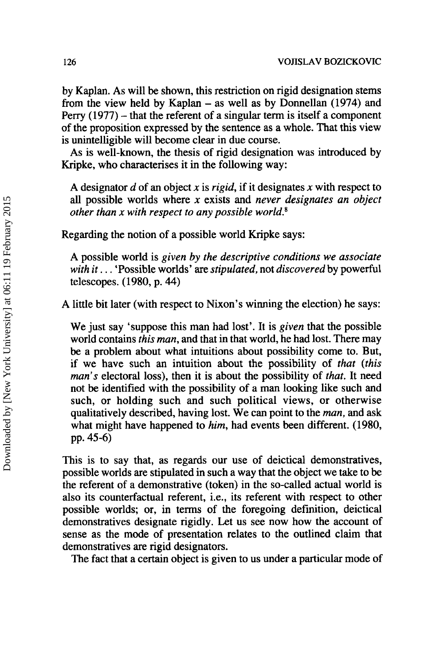by Kaplan. As will be shown, this restriction on rigid designation stems from the view held by Kaplan  $-$  as well as by Donnellan (1974) and Perry  $(1977)$  – that the referent of a singular term is itself a component of the proposition expressed by the sentence as a whole. That this view is unintelligible will become clear in due course.

**As** is well-known, the thesis of rigid designation was introduced by Kripke, who characterises it in the following way:

A designator *d* of an object *x* is *rigid,* if it designates *x* with respect to all possible worlds where *x* exists and *never designates an object other than x with respect to any possible world.8* 

Regarding the notion of a possible world Kripke says:

**A** possible world is *given by the descriptive conditions we associate with it* . . . 'Possible worlds' are *stipulated,* not *discovered* by powerful telescopes. (1980, p. **44)** 

**A** little bit later (with respect to Nixon's winning the election) he says:

We just say 'suppose this man had lost'. It is *given* that the possible world contains *this man,* and that in that world, he had lost. There may be a problem about what intuitions about possibility come to. But, if we have such an intuition about the possibility of *that (this man's* electoral loss), then it is about the possibility of *that.* It need not be identified with the possibility of a man looking like such and such, or holding such and such political views, or otherwise qualitatively described, having lost. We can point to the *man,* and ask what might have happened to *him,* had events been different. (1980, pp. 45-6)

This is to say that, as regards our use of deictical demonstratives, possible worlds are stipulated in such a way that the object we take to be the referent of a demonstrative (token) in the so-called actual world is also its counterfactual referent, i.e., its referent with respect to other possible worlds; or, in terms of the foregoing definition, deictical demonstratives designate rigidly. Let us see now how the account of sense as the mode of presentation relates to the outlined claim that demonstratives are rigid designators.

The fact that a certain object is given to us under a particular mode of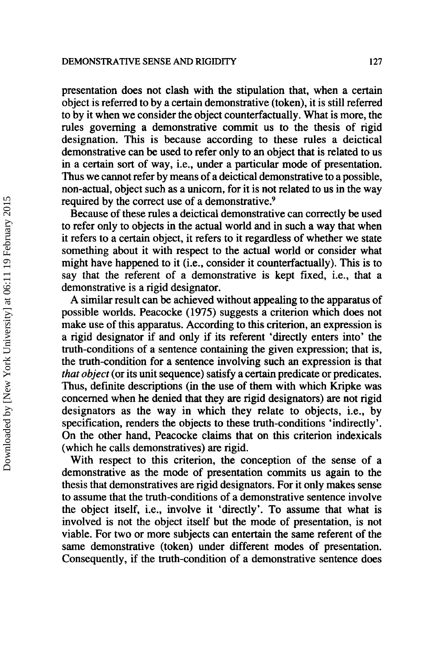presentation does not clash with the stipulation that, when a certain object is referred to by a certain demonstrative (token), it is still referred to by it when we consider the object counterfactually. What is more, the rules governing a demonstrative commit us to the thesis of rigid designation. This is because according to these rules a deictical demonstrative can be used to refer only to an object that is related to us in a certain sort of way, i.e., under a particular mode of presentation. Thus we cannot refer by means of a deictical demonstrative to a possible, non-actual, object such as a unicorn, for it is not related to us in the way required by the correct use of a demonstrative.<sup>9</sup>

Because of these rules a deictical demonstrative can correctly be used to refer only to objects in the actual world and in such a way that when it refers to a certain object, it refers to it regardless of whether we state something about it with respect to the actual world or consider what might have happened to it (i.e., consider it counterfactually). This is to say that the referent of a demonstrative is kept fixed, i.e., that a demonstrative is a rigid designator.

A similar result can **be** achieved without appealing to the apparatus of possible worlds. Peacocke (1975) suggests a criterion which does not make use of this apparatus. According to this criterion, an expression is a rigid designator if and only if its referent 'directly enters into' the truth-conditions of a sentence containing the given expression; that is, the truth-condition for a sentence involving such **an** expression is that that object (or its unit sequence) satisfy a certain predicate or predicates. Thus, definite descriptions (in the use of them with which Kripke was concerned when he denied that they are rigid designators) are not rigid designators as the way in which they relate to objects, i.e., by specification, renders the objects to these truth-conditions 'indirectly'. On the other hand, Peacocke claims that on this criterion indexicals (which he calls demonstratives) are rigid.

With respect to this criterion, the conception of the sense of a demonstrative as the mode of presentation commits us again to the thesis that demonstratives are rigid designators. For it only makes sense to assume that the truth-conditions of a demonstrative sentence involve the object itself, i.e., involve it 'directly'. To assume that what is involved is not the object itself but the mode of presentation, is not viable. For two or more subjects can entertain the same referent of the same demonstrative (token) under different modes of presentation. Consequently, if the truth-condition of a demonstrative sentence does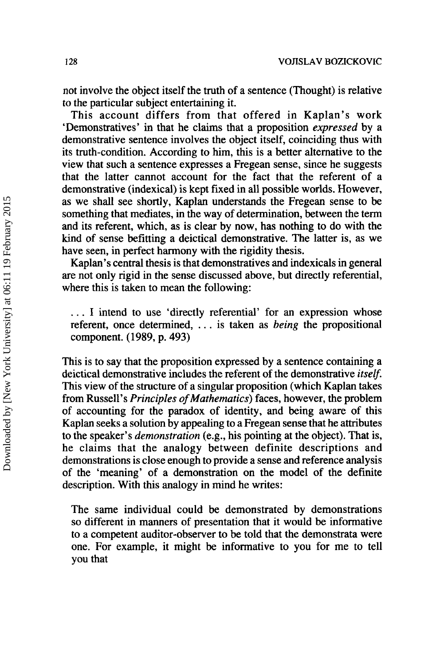not involve the object itself the truth of a sentence (Thought) is relative to the particular subject entertaining it.

This account differs from that offered in Kaplan's work 'Demonstratives' in that he claims that a proposition *expressed* by a demonstrative sentence involves the object itself, coinciding thus with its truth-condition. According to him, this is a better alternative to the view that such a sentence expresses a Fregean sense, since he suggests that the latter cannot account for the fact that the referent of a demonstrative (indexical) is kept fixed in all possible worlds. However, as we shall see shortly, Kaplan understands the Fregean sense to be something that mediates, in the way of determination, between the term and its referent, which, as is clear by now, has nothing to do with the kind of sense befitting a deictical demonstrative. The latter is, as we have seen, in perfect harmony with the rigidity thesis.

Kaplan's central thesis is that demonstratives and indexicals in general are not only rigid in the sense discussed above, but directly referential, where this is taken to mean the following:

. . . I intend to use 'directly referential' for an expression whose referent, once determined, . . . is taken as *being* the propositional component. (1989, p. 493)

This is to say that the proposition expressed by a sentence containing a deictical demonstrative includes the referent of the demonstrative *itself*. This view of the structure of a singular proposition (which Kaplan takes from Russell's *Principles ofMathernatics)* faces, however, the problem of accounting for the paradox of identity, and being aware of this Kaplan seeks a solution by appealing to a Fregean sense that he attributes to the speaker's *demonstration* (e.g., his pointing at the object). That is, he claims that the analogy between definite descriptions and demonstrations is close enough to provide a sense and reference analysis of the 'meaning' of a demonstration on the model of the definite description. With this analogy in mind he writes:

The same individual could be demonstrated by demonstrations so different in manners of presentation that it would **be** informative to a competent auditor-observer to be told that the demonstrata were one. For example, it might be informative to you for me to tell you that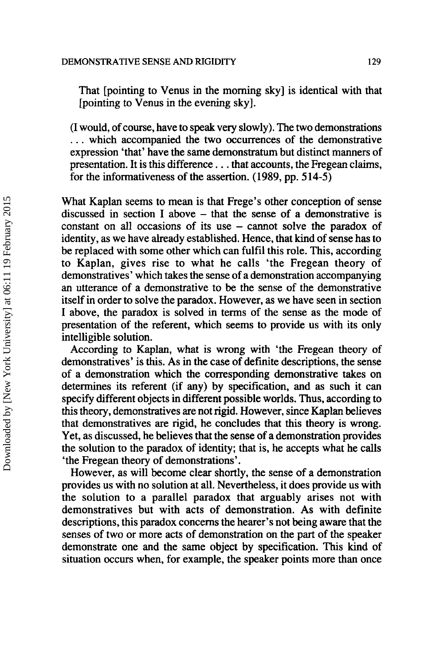That [pointing to Venus in the morning sky] is identical with that [pointing to Venus in the evening sky].

(I would, of course, have to speak very slowly). The two demonstrations . . . which accompanied the two occurrences of the demonstrative expression 'that' have the same demonstratum but distinct manners of presentation. It is this difference. . . that accounts, the Fregean claims, for the informativeness of the assertion. (1989, pp. *5* **14-5)** 

What Kaplan seems to mean is that Frege's other conception of sense discussed in section I above  $-$  that the sense of a demonstrative is constant on all occasions of its use  $-$  cannot solve the paradox of identity, as we have already established. Hence, that kind of sense has to be replaced with some other which can fulfil this role. This, according to Kaplan, gives rise to what he calls 'the Fregean theory of demonstratives' which takes the sense of a demonstration accompanying an utterance of a demonstrative to be the sense of the demonstrative itself in order to solve the paradox. However, as we have seen in section I above, the paradox is solved in terms of the sense as the mode of presentation of the referent, which seems to provide us with its only intelligible solution.

According to Kaplan, what is wrong with 'the Fregean theory of demonstratives' is this. As in the case of definite descriptions, the sense of a demonstration which the corresponding demonstrative takes on determines its referent (if any) by specification, and as such it can specify different objects in different possible worlds. Thus, according to this theory, demonstratives are not rigid. However, since Kaplan believes that demonstratives are rigid, he concludes that this theory is wrong. Yet, as discussed, he believes that the sense of a demonstration provides the solution to the paradox of identity; that is, he accepts what he calls 'the Fregean theory of demonstrations'.

However, as will become clear shortly, the sense of a demonstration provides us with no solution at all. Nevertheless, it does provide us with the solution to a parallel paradox that arguably arises not with demonstratives but with acts of demonstration. As with definite descriptions, this paradox concerns the hearer's not being aware that the senses of two or more acts of demonstration on the part of the speaker demonstrate one and the same object by specification. This kind of situation occurs when, for example, the speaker points more than once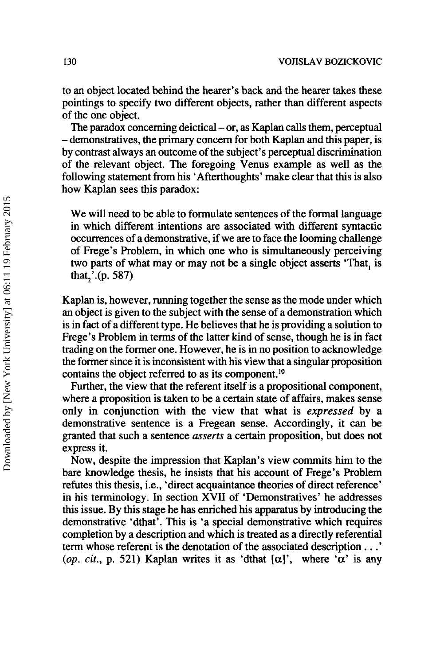to **an** object located behind the hearer's back and the hearer takes these pointings to specify two different objects, rather than different aspects of the one object.

The paradox concerning deictical – or, as Kaplan calls them, perceptual - demonstratives, the primary concern for both Kaplan and this paper, is by contrast always an outcome of the subject's perceptual discrimination of the relevant object. The foregoing Venus example as well as the following statement from his 'Afterthoughts' make clear that this is also how Kaplan sees this paradox:

We will need to be able to formulate sentences of the formal language in which different intentions are associated with different syntactic Occurrences of a demonstrative, if we are to face the looming challenge of Frege's Problem, in which one who is simultaneously perceiving two parts of what may or may not be a single object asserts 'That, is that,'.(p. 587)

Kaplan is, however, running together the sense as the mode under which an object is given to the subject with the sense of a demonstration which is in fact of a different type. He believes that he is providing a solution to Frege's Problem in terms of the latter kind of sense, though he is in fact trading on the former one. However, he is in no position to acknowledge the former since it is inconsistent with his view that a singular proposition contains the object referred to as its component.<sup>10</sup>

Further, the view that the referent itself is a propositional component, where a proposition is taken to be a certain state of affairs, makes sense only in conjunction with the view that what is *expressed* by a demonstrative sentence is a Fregean sense. Accordingly, it can be granted that such a sentence *asserts* a certain proposition, but does not express it.

Now, despite the impression that Kaplan's view commits him to the bare knowledge thesis, he insists that his account of Frege's Problem refutes this thesis, i.e., 'direct acquaintance theories of direct reference' in his terminology. In section XVII of 'Demonstratives' he addresses this issue. By this stage he has enriched his apparatus by introducing the demonstrative 'dthat'. This is 'a special demonstrative which requires completion by a description and which is treated as a directly referential term whose referent is the denotation of the associated description . . .' *(op. cit., p.* 521) Kaplan writes it as 'dthat  $[\alpha]$ ', where ' $\alpha$ ' is any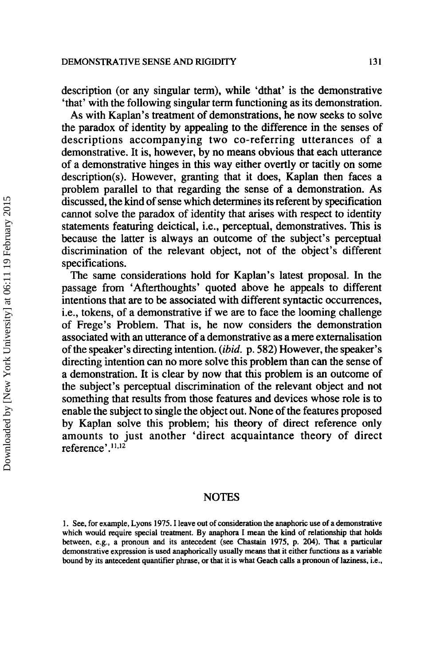description (or any singular term), while 'dthat' is the demonstrative 'that' with the following singular term functioning as its demonstration.

As with Kaplan's treatment of demonstrations, he now seeks to solve the paradox of identity by appealing to the difference in the senses of descriptions accompanying two co-referring utterances of a demonstrative. It is, however, by no means obvious that each utterance of a demonstrative hinges in this way either overtly or tacitly on some description(s). However, granting that it does, Kaplan then faces a problem parallel to that regarding the sense of a demonstration. As discussed, the kind of sense which determines its referent by specification cannot solve the paradox of identity that arises with respect to identity statements featuring deictical, i.e., perceptual, demonstratives. This is because the latter is always an outcome of the subject's perceptual discrimination of the relevant object, not of the object's different specifications.

The same considerations hold for Kaplan's latest proposal. In the passage from 'Afterthoughts' quoted above he appeals to different intentions that are to be associated with different syntactic occurrences, i.e., tokens, of a demonstrative if we are to face the looming challenge of Frege's Problem. That is, he now considers the demonstration associated with an utterance of a demonstrative **as** a mere externalisation of the speaker's directing intention. *(ibid.* p. **582)** However, the speaker's directing intention can no more solve this problem than can the sense of a demonstration. It is clear by now that this problem is an outcome of the subject's perceptual discrimination of the relevant object and not something that results from those features and devices whose role is to enable the subject to single the object out. None of the features proposed by Kaplan solve this problem; his theory of direct reference only amounts to just another 'direct acquaintance theory of direct reference'. $11,12$ 

### **NOTES**

**<sup>1.</sup> See, for example, Lyons 1975. I leave out of consideration the anaphoric use of a demonstrative which would** require **special treatment. By amphora I mean the kind of relationship that holds between, e.g., a pronoun and its antecedent (see Chastain 1975. p. 204). That a particular demonstrative expression is used anaphorically usually means that it either functions as a variable bound by its antecedent quantifier phrase, or that it is what Geach calls a pronoun of laziness, i.e..**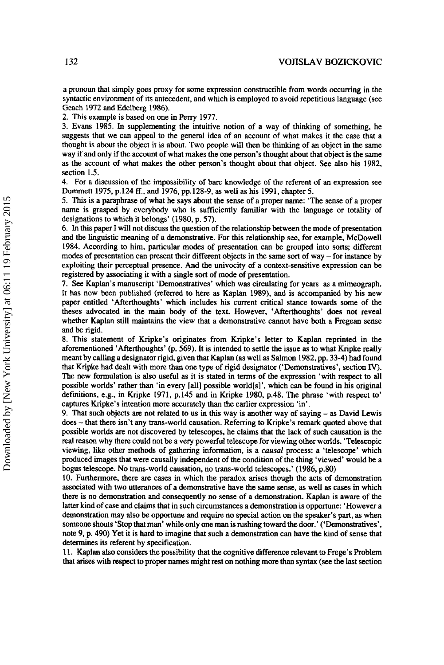a pronoun that simply goes proxy for some expression constructible from words occurring in the syntactic environment of its antecedent, and which is employed to avoid repetitious language (see Geach 1972 and Edelberg 1986).

2. This example is based on one in Perry 1977.

3. Evans 1985. In supplementing the intuitive notion of a way of thinking of something, he suggests that we can appeal to the general idea of an account of what makes it the case that a thought is about the object it is about. Two people will then be thinking of an object in the same way if and only if the account of what makes the one person's thought about that object is the same **as** the account of what makes the other person's thought about that object. *See* also his 1982, section 1.5.

**4.** For a discussion of the impossibility of bare knowledge of the referent of **an** expression see Dummett 1975, p.124 ff., and 1976, pp.128-9, **as** well as his 1991, chapter *5.* 

**5.** This is a paraphrase of what he says about the sense of a proper name: 'The sense of a proper name is **grasped** by everybody who is sufficiently familiar with the language or totality of designations **to** which it belongs' (1980, p. 57).

6. In this paper I will not discuss the question of the relationship **between** the mode of presentation and the linguistic meaning of a demonstrative. For this relationship **see,** for example, McDowell 1984. According to him, particular modes of presentation can be grouped into sorts; different modes of presentation can present their different objects in the same sort of way - for instance by exploiting their perceptual presence. And the univocity of a context-sensitive expression can be registered by associating it with a single sort of mode of presentation.

7. **See** Kaplan's manuscript 'Demonstratives' which was circulating for years **as** a mimeograph. It has now been published (referred to here **as** Kaplan 1989), and is accompanied by his new paper entitled 'Afterthoughts' which includes his current critical stance towards some of the theses advocated in the main body of the text. However, 'Afterthoughts' does not reveal whether Kaplan still maintains the view that **a** demonstrative cannot have both a Fregean sense and be rigid.

8. This statement of Kripke's originates from Kripke's letter to Kaplan reprinted in the aforementioned 'Afterthoughts' (p. 569). It is intended to settle the issue **as** to what Kripke really meant by calling a designator rigid, given that Kaplan (as well **as** Salmon 1982, pp. 33-4) had found that Kripke had dealt with more than one **type** of rigid designator ('Demonstratives', section IV). The new formulation is also **useful** as it is stated in terms of the expression 'with respect to all possible worlds' rather than 'in every [all] possible world[s]', which can be found in his original definitions, e.g., in Kripke 1971, p.145 and in Kripke 1980, p.48. The phrase 'with respect to' captures Kripke's intention more accurately than the earlier expression 'in'.

*9.* That such objects **are** not related to us in this way is another way of saying - **as** David Lewis does - that there isn't any trans-world causation. Referring to Kripke's remark quoted above that possible worlds **are** not discovered by telescopes, he claims that the lack of such causation is the real reason why there could not be **a** very powerful telescope for viewing other worlds. 'Telescopic viewing, like other methods of gathering information, is a causal process: a 'telescope' which produced images that were causally independent of the condition of the thing 'viewed' would be a bogus telescope. **No** trans-world causation, no trans-world telescopes.' (1986, p.80)

10. Furthermore, there are cases in which the paradox arises though the acts of demonstration associated with two utterances of **a** demonstrative have the same sense, **as** well **as** cases in which there is no demonstration and consequently no sense of a demonstration. Kaplan is aware of the latter kind of case and claims that in such circumstances a demonstration is opportune: 'However a demonstration may also be opportune and require **no** special action on the speaker's part, **as** when someone shouts 'Stop that man' while only one man is rushing toward the door.' ('Demonstratives'. note 9, p. 490) Yet it is hard to imagine that such a demonstration can have the kind of sense that determines its referent by specification.

11. Kaplan also considers the possibility that the cognitive difference relevant to Frege's Problem that **arises** with respect to proper names might rest **on** nothing more than syntax *(see* the last section